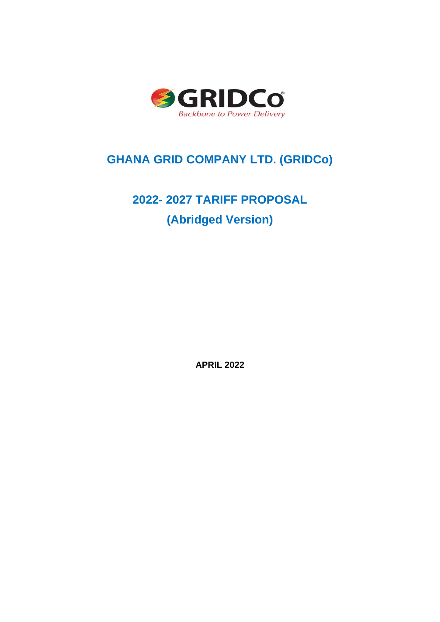

## **GHANA GRID COMPANY LTD. (GRIDCo)**

# **2022- 2027 TARIFF PROPOSAL (Abridged Version)**

**APRIL 2022**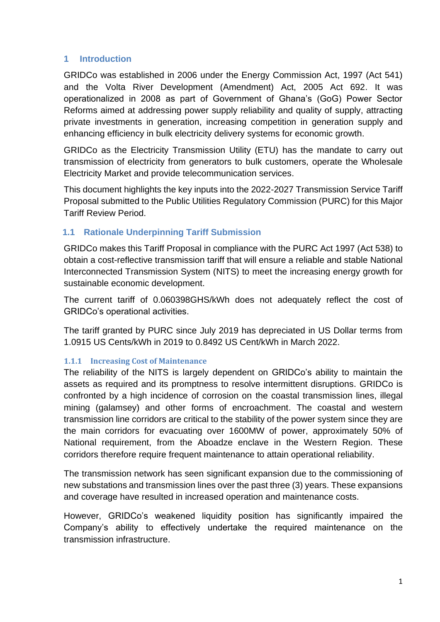### **1 Introduction**

GRIDCo was established in 2006 under the Energy Commission Act, 1997 (Act 541) and the Volta River Development (Amendment) Act, 2005 Act 692. It was operationalized in 2008 as part of Government of Ghana's (GoG) Power Sector Reforms aimed at addressing power supply reliability and quality of supply, attracting private investments in generation, increasing competition in generation supply and enhancing efficiency in bulk electricity delivery systems for economic growth.

GRIDCo as the Electricity Transmission Utility (ETU) has the mandate to carry out transmission of electricity from generators to bulk customers, operate the Wholesale Electricity Market and provide telecommunication services.

This document highlights the key inputs into the 2022-2027 Transmission Service Tariff Proposal submitted to the Public Utilities Regulatory Commission (PURC) for this Major Tariff Review Period.

### **1.1 Rationale Underpinning Tariff Submission**

GRIDCo makes this Tariff Proposal in compliance with the PURC Act 1997 (Act 538) to obtain a cost-reflective transmission tariff that will ensure a reliable and stable National Interconnected Transmission System (NITS) to meet the increasing energy growth for sustainable economic development.

The current tariff of 0.060398GHS/kWh does not adequately reflect the cost of GRIDCo's operational activities.

The tariff granted by PURC since July 2019 has depreciated in US Dollar terms from 1.0915 US Cents/kWh in 2019 to 0.8492 US Cent/kWh in March 2022.

### **1.1.1 Increasing Cost of Maintenance**

The reliability of the NITS is largely dependent on GRIDCo's ability to maintain the assets as required and its promptness to resolve intermittent disruptions. GRIDCo is confronted by a high incidence of corrosion on the coastal transmission lines, illegal mining (galamsey) and other forms of encroachment. The coastal and western transmission line corridors are critical to the stability of the power system since they are the main corridors for evacuating over 1600MW of power, approximately 50% of National requirement, from the Aboadze enclave in the Western Region. These corridors therefore require frequent maintenance to attain operational reliability.

The transmission network has seen significant expansion due to the commissioning of new substations and transmission lines over the past three (3) years. These expansions and coverage have resulted in increased operation and maintenance costs.

However, GRIDCo's weakened liquidity position has significantly impaired the Company's ability to effectively undertake the required maintenance on the transmission infrastructure.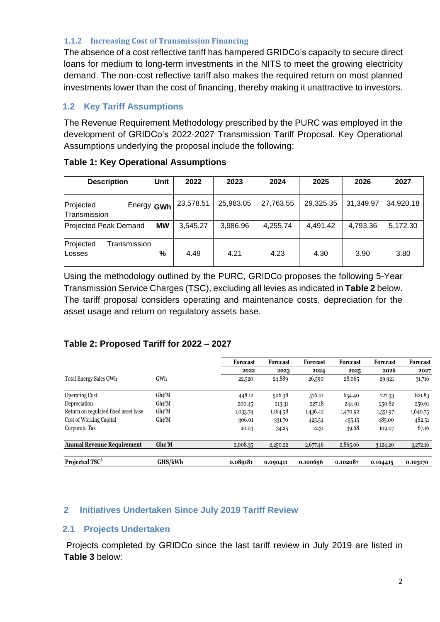#### **1.1.2 Increasing Cost of Transmission Financing**

The absence of a cost reflective tariff has hampered GRIDCo's capacity to secure direct loans for medium to long-term investments in the NITS to meet the growing electricity demand. The non-cost reflective tariff also makes the required return on most planned investments lower than the cost of financing, thereby making it unattractive to investors.

### **1.2 Key Tariff Assumptions**

The Revenue Requirement Methodology prescribed by the PURC was employed in the development of GRIDCo's 2022-2027 Transmission Tariff Proposal. Key Operational Assumptions underlying the proposal include the following:

| <b>Description</b>                      | <b>Unit</b>   | 2022      | 2023      | 2024      | 2025      | 2026      | 2027      |
|-----------------------------------------|---------------|-----------|-----------|-----------|-----------|-----------|-----------|
| Projected<br>Energy GWh<br>Transmission |               | 23,578.51 | 25,983.05 | 27,763.55 | 29,325.35 | 31,349.97 | 34,920.18 |
| <b>Projected Peak Demand</b>            | <b>MW</b>     | 3,545.27  | 3,986.96  | 4,255.74  | 4,491.42  | 4,793.36  | 5,172.30  |
| Transmission<br>Projected<br>Losses     | $\frac{0}{0}$ | 4.49      | 4.21      | 4.23      | 4.30      | 3.90      | 3.80      |

### **Table 1: Key Operational Assumptions**

Using the methodology outlined by the PURC, GRIDCo proposes the following 5-Year Transmission Service Charges (TSC), excluding all levies as indicated in **Table 2** below. The tariff proposal considers operating and maintenance costs, depreciation for the asset usage and return on regulatory assets base.

### **Table 2: Proposed Tariff for 2022 – 2027**

|                                      |         | Forecast | <b>Forecast</b> | <b>Forecast</b> | <b>Forecast</b> | <b>Forecast</b> | Forecast |
|--------------------------------------|---------|----------|-----------------|-----------------|-----------------|-----------------|----------|
|                                      |         | 2022     | 2023            | 2024            | 2025            | 2026            | 2027     |
| <b>Total Energy Sales GWh</b>        | GWh     | 22,520   | 24,889          | 26,590          | 28,065          | 29,921          | 31,716   |
| <b>Operating Cost</b>                | Gh¢'M   | 448.12   | 506.38          | 576.01          | 654.40          | 727.33          | 821.83   |
| Depreciation                         | Gh¢'M   | 200.45   | 213.31          | 227.18          | 244.91          | 250.82          | 259.91   |
| Return on regulated fixed asset base | Gh¢'M   | 1,033.74 | 1,164.58        | 1,436.42        | 1,470.92        | 1,551.97        | 1,640.75 |
| Cost of Working Capital              | Gh¢'M   | 306.01   | 331.70          | 425.54          | 455.15          | 485.00          | 482.51   |
| Corporate Tax                        |         | 20.03    | 34.25           | 12.31           | 39.68           | 109.07          | 67.16    |
| <b>Annual Revenue Requirement</b>    | Gh¢'M   | 2,008.35 | 2,250.22        | 2,677.46        | 2,865.06        | 3,124.20        | 3,272.16 |
| Projected TSC <sup>3</sup>           | GHS/kWh | 0.089181 | 0.090411        | 0.100696        | 0.102087        | 0.104415        | 0.103170 |

### **2 Initiatives Undertaken Since July 2019 Tariff Review**

#### **2.1 Projects Undertaken**

Projects completed by GRIDCo since the last tariff review in July 2019 are listed in **Table 3** below: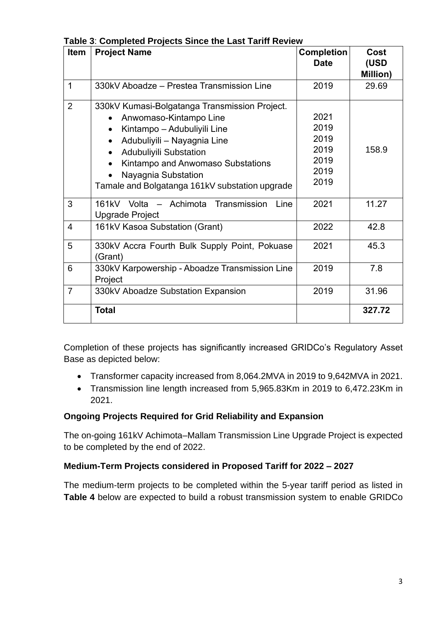| <b>Item</b>    | <b>Project Name</b>                                                   | <b>Completion</b> | Cost             |
|----------------|-----------------------------------------------------------------------|-------------------|------------------|
|                |                                                                       | <b>Date</b>       | (USD<br>Million) |
| 1              | 330kV Aboadze – Prestea Transmission Line                             | 2019              | 29.69            |
| 2              | 330kV Kumasi-Bolgatanga Transmission Project.                         |                   |                  |
|                | Anwomaso-Kintampo Line                                                | 2021              |                  |
|                | Kintampo - Adubuliyili Line<br>$\bullet$                              | 2019              |                  |
|                | Adubuliyili - Nayagnia Line<br>$\bullet$                              | 2019              |                  |
|                | <b>Adubuliyili Substation</b><br>$\bullet$                            | 2019              | 158.9            |
|                | Kintampo and Anwomaso Substations                                     | 2019              |                  |
|                | Nayagnia Substation                                                   | 2019              |                  |
|                | Tamale and Bolgatanga 161kV substation upgrade                        | 2019              |                  |
| 3              | 161kV Volta - Achimota Transmission<br>Line<br><b>Upgrade Project</b> | 2021              | 11.27            |
| $\overline{4}$ | 161kV Kasoa Substation (Grant)                                        | 2022              | 42.8             |
| 5              | 330kV Accra Fourth Bulk Supply Point, Pokuase<br>(Grant)              | 2021              | 45.3             |
| 6              | 330kV Karpowership - Aboadze Transmission Line<br>Project             | 2019              | 7.8              |
| $\overline{7}$ | 330kV Aboadze Substation Expansion                                    | 2019              | 31.96            |
|                | <b>Total</b>                                                          |                   | 327.72           |

**Table 3**: **Completed Projects Since the Last Tariff Review**

Completion of these projects has significantly increased GRIDCo's Regulatory Asset Base as depicted below:

- Transformer capacity increased from 8,064.2MVA in 2019 to 9,642MVA in 2021.
- Transmission line length increased from 5,965.83Km in 2019 to 6,472.23Km in 2021.

### **Ongoing Projects Required for Grid Reliability and Expansion**

The on-going 161kV Achimota–Mallam Transmission Line Upgrade Project is expected to be completed by the end of 2022.

### **Medium-Term Projects considered in Proposed Tariff for 2022 – 2027**

The medium-term projects to be completed within the 5-year tariff period as listed in **Table 4** below are expected to build a robust transmission system to enable GRIDCo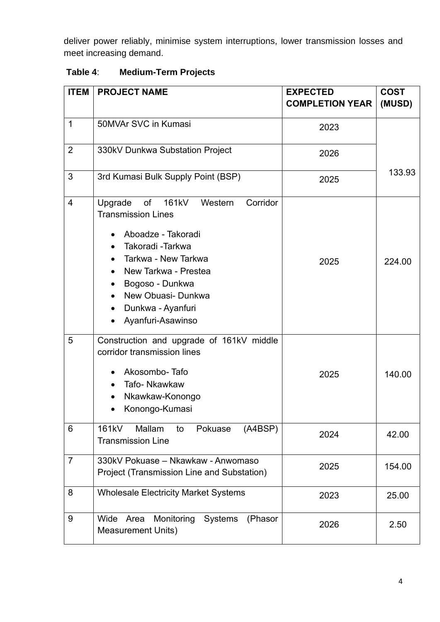deliver power reliably, minimise system interruptions, lower transmission losses and meet increasing demand.

| <b>ITEM</b>    | <b>PROJECT NAME</b>                                                                                                                                                                                                                                                               | <b>EXPECTED</b><br><b>COMPLETION YEAR</b> | <b>COST</b><br>(MUSD) |
|----------------|-----------------------------------------------------------------------------------------------------------------------------------------------------------------------------------------------------------------------------------------------------------------------------------|-------------------------------------------|-----------------------|
| $\mathbf{1}$   | 50MVAr SVC in Kumasi                                                                                                                                                                                                                                                              | 2023                                      |                       |
| $\overline{2}$ | 330kV Dunkwa Substation Project                                                                                                                                                                                                                                                   | 2026                                      |                       |
| 3              | 3rd Kumasi Bulk Supply Point (BSP)                                                                                                                                                                                                                                                | 2025                                      | 133.93                |
| $\overline{4}$ | Corridor<br>of<br>161kV<br>Upgrade<br>Western<br><b>Transmission Lines</b><br>Aboadze - Takoradi<br>Takoradi - Tarkwa<br>Tarkwa - New Tarkwa<br>New Tarkwa - Prestea<br>Bogoso - Dunkwa<br>$\bullet$<br>New Obuasi- Dunkwa<br>Dunkwa - Ayanfuri<br>$\bullet$<br>Ayanfuri-Asawinso | 2025                                      | 224.00                |
| 5              | Construction and upgrade of 161kV middle<br>corridor transmission lines<br>Akosombo-Tafo<br>Tafo- Nkawkaw<br>Nkawkaw-Konongo<br>Konongo-Kumasi<br>$\bullet$                                                                                                                       | 2025                                      | 140.00                |
| 6              | 161kV<br>Mallam<br>Pokuase<br>(A4BSP)<br>to<br><b>Transmission Line</b>                                                                                                                                                                                                           | 2024                                      | 42.00                 |
| $\overline{7}$ | 330kV Pokuase - Nkawkaw - Anwomaso<br>Project (Transmission Line and Substation)                                                                                                                                                                                                  | 2025                                      | 154.00                |
| 8              | <b>Wholesale Electricity Market Systems</b>                                                                                                                                                                                                                                       | 2023                                      | 25.00                 |
| 9              | Monitoring<br><b>Systems</b><br>(Phasor<br>Wide<br>Area<br><b>Measurement Units)</b>                                                                                                                                                                                              | 2026                                      | 2.50                  |

### **Table 4**: **Medium-Term Projects**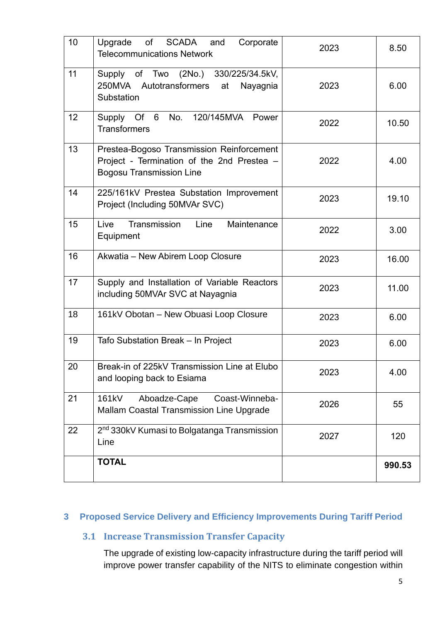| 10 | <b>SCADA</b><br>of<br>Upgrade<br>and<br>Corporate<br><b>Telecommunications Network</b>                                     | 2023 | 8.50   |
|----|----------------------------------------------------------------------------------------------------------------------------|------|--------|
| 11 | Supply of Two (2No.) 330/225/34.5kV,<br>250MVA Autotransformers<br>at<br>Nayagnia<br>Substation                            | 2023 | 6.00   |
| 12 | Of 6<br>No.<br>120/145MVA<br>Supply<br>Power<br><b>Transformers</b>                                                        | 2022 | 10.50  |
| 13 | Prestea-Bogoso Transmission Reinforcement<br>Project - Termination of the 2nd Prestea -<br><b>Bogosu Transmission Line</b> | 2022 | 4.00   |
| 14 | 225/161kV Prestea Substation Improvement<br>Project (Including 50MVAr SVC)                                                 | 2023 | 19.10  |
| 15 | Transmission<br>Line<br>Maintenance<br>Live<br>Equipment                                                                   | 2022 | 3.00   |
| 16 | Akwatia - New Abirem Loop Closure                                                                                          | 2023 | 16.00  |
| 17 | Supply and Installation of Variable Reactors<br>including 50MVAr SVC at Nayagnia                                           | 2023 | 11.00  |
| 18 | 161kV Obotan - New Obuasi Loop Closure                                                                                     | 2023 | 6.00   |
| 19 | Tafo Substation Break - In Project                                                                                         | 2023 | 6.00   |
| 20 | Break-in of 225kV Transmission Line at Elubo<br>and looping back to Esiama                                                 | 2023 | 4.00   |
| 21 | Aboadze-Cape<br>161kV<br>Coast-Winneba-<br><b>Mallam Coastal Transmission Line Upgrade</b>                                 | 2026 | 55     |
| 22 | 2 <sup>nd</sup> 330kV Kumasi to Bolgatanga Transmission<br>Line                                                            | 2027 | 120    |
|    | <b>TOTAL</b>                                                                                                               |      | 990.53 |

### **3 Proposed Service Delivery and Efficiency Improvements During Tariff Period**

### **3.1 Increase Transmission Transfer Capacity**

The upgrade of existing low-capacity infrastructure during the tariff period will improve power transfer capability of the NITS to eliminate congestion within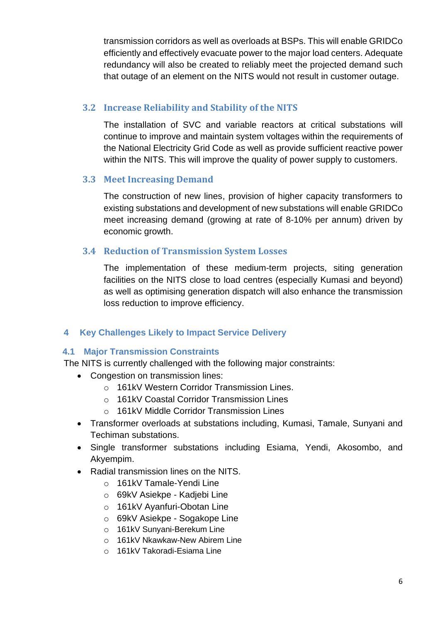transmission corridors as well as overloads at BSPs. This will enable GRIDCo efficiently and effectively evacuate power to the major load centers. Adequate redundancy will also be created to reliably meet the projected demand such that outage of an element on the NITS would not result in customer outage.

### **3.2 Increase Reliability and Stability of the NITS**

The installation of SVC and variable reactors at critical substations will continue to improve and maintain system voltages within the requirements of the National Electricity Grid Code as well as provide sufficient reactive power within the NITS. This will improve the quality of power supply to customers.

### **3.3 Meet Increasing Demand**

The construction of new lines, provision of higher capacity transformers to existing substations and development of new substations will enable GRIDCo meet increasing demand (growing at rate of 8-10% per annum) driven by economic growth.

### **3.4 Reduction of Transmission System Losses**

The implementation of these medium-term projects, siting generation facilities on the NITS close to load centres (especially Kumasi and beyond) as well as optimising generation dispatch will also enhance the transmission loss reduction to improve efficiency.

### **4 Key Challenges Likely to Impact Service Delivery**

### **4.1 Major Transmission Constraints**

The NITS is currently challenged with the following major constraints:

- Congestion on transmission lines:
	- o 161kV Western Corridor Transmission Lines.
	- o 161kV Coastal Corridor Transmission Lines
	- o 161kV Middle Corridor Transmission Lines
- Transformer overloads at substations including, Kumasi, Tamale, Sunyani and Techiman substations.
- Single transformer substations including Esiama, Yendi, Akosombo, and Akyempim.
- Radial transmission lines on the NITS.
	- o 161kV Tamale-Yendi Line
	- o 69kV Asiekpe Kadjebi Line
	- o 161kV Ayanfuri-Obotan Line
	- o 69kV Asiekpe Sogakope Line
	- o 161kV Sunyani-Berekum Line
	- o 161kV Nkawkaw-New Abirem Line
	- o 161kV Takoradi-Esiama Line